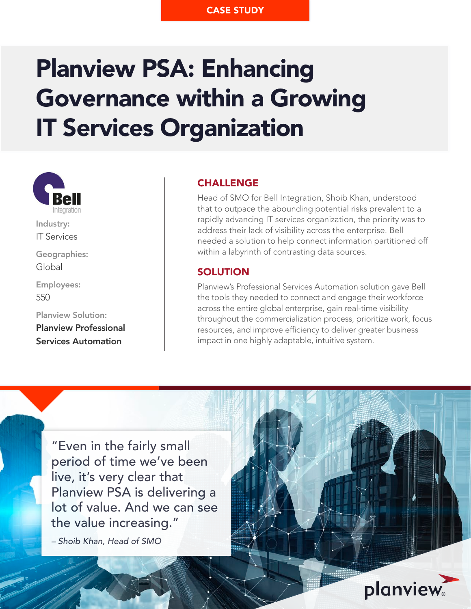# Planview PSA: Enhancing Governance within a Growing IT Services Organization



Industry: IT Services

Geographies: Global

Employees: 550

Planview Solution: Planview Professional Services Automation

# CHALLENGE

Head of SMO for Bell Integration, Shoib Khan, understood that to outpace the abounding potential risks prevalent to a rapidly advancing IT services organization, the priority was to address their lack of visibility across the enterprise. Bell needed a solution to help connect information partitioned off within a labyrinth of contrasting data sources.

# **SOLUTION**

Planview's Professional Services Automation solution gave Bell the tools they needed to connect and engage their workforce across the entire global enterprise, gain real-time visibility throughout the commercialization process, prioritize work, focus resources, and improve efficiency to deliver greater business impact in one highly adaptable, intuitive system.

"Even in the fairly small period of time we've been live, it's very clear that Planview PSA is delivering a lot of value. And we can see the value increasing."

*–* Shoib Khan, Head of SMO